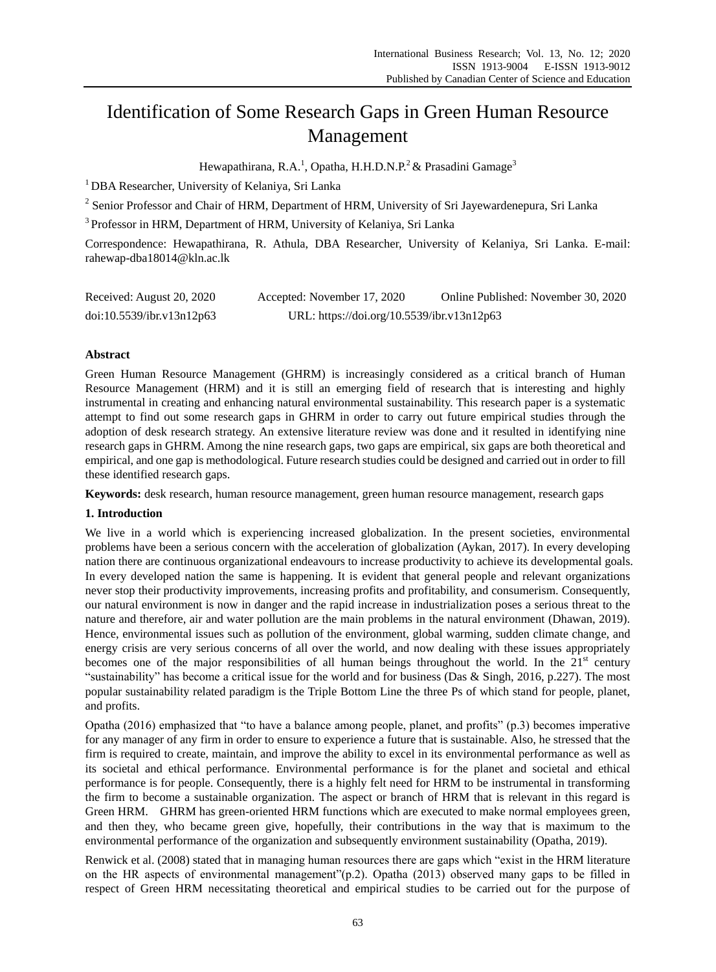# Identification of Some Research Gaps in Green Human Resource Management

Hewapathirana, R.A.<sup>1</sup>, Opatha, H.H.D.N.P.<sup>2</sup> & Prasadini Gamage<sup>3</sup>

<sup>1</sup> DBA Researcher, University of Kelaniya, Sri Lanka

<sup>2</sup> Senior Professor and Chair of HRM, Department of HRM, University of Sri Jayewardenepura, Sri Lanka

<sup>3</sup> Professor in HRM, Department of HRM, University of Kelaniya, Sri Lanka

Correspondence: Hewapathirana, R. Athula, DBA Researcher, University of Kelaniya, Sri Lanka. E-mail: rahewap-dba18014@kln.ac.lk

| Received: August 20, 2020 | Accepted: November 17, 2020                | Online Published: November 30, 2020 |
|---------------------------|--------------------------------------------|-------------------------------------|
| doi:10.5539/ibr.v13n12p63 | URL: https://doi.org/10.5539/ibr.v13n12p63 |                                     |

# **Abstract**

Green Human Resource Management (GHRM) is increasingly considered as a critical branch of Human Resource Management (HRM) and it is still an emerging field of research that is interesting and highly instrumental in creating and enhancing natural environmental sustainability. This research paper is a systematic attempt to find out some research gaps in GHRM in order to carry out future empirical studies through the adoption of desk research strategy. An extensive literature review was done and it resulted in identifying nine research gaps in GHRM. Among the nine research gaps, two gaps are empirical, six gaps are both theoretical and empirical, and one gap is methodological. Future research studies could be designed and carried out in order to fill these identified research gaps.

**Keywords:** desk research, human resource management, green human resource management, research gaps

## **1. Introduction**

We live in a world which is experiencing increased globalization. In the present societies, environmental problems have been a serious concern with the acceleration of globalization (Aykan, 2017). In every developing nation there are continuous organizational endeavours to increase productivity to achieve its developmental goals. In every developed nation the same is happening. It is evident that general people and relevant organizations never stop their productivity improvements, increasing profits and profitability, and consumerism. Consequently, our natural environment is now in danger and the rapid increase in industrialization poses a serious threat to the nature and therefore, air and water pollution are the main problems in the natural environment (Dhawan, 2019). Hence, environmental issues such as pollution of the environment, global warming, sudden climate change, and energy crisis are very serious concerns of all over the world, and now dealing with these issues appropriately becomes one of the major responsibilities of all human beings throughout the world. In the  $21<sup>st</sup>$  century "sustainability" has become a critical issue for the world and for business (Das & Singh, 2016, p.227). The most popular sustainability related paradigm is the Triple Bottom Line the three Ps of which stand for people, planet, and profits.

Opatha (2016) emphasized that "to have a balance among people, planet, and profits" (p.3) becomes imperative for any manager of any firm in order to ensure to experience a future that is sustainable. Also, he stressed that the firm is required to create, maintain, and improve the ability to excel in its environmental performance as well as its societal and ethical performance. Environmental performance is for the planet and societal and ethical performance is for people. Consequently, there is a highly felt need for HRM to be instrumental in transforming the firm to become a sustainable organization. The aspect or branch of HRM that is relevant in this regard is Green HRM. GHRM has green-oriented HRM functions which are executed to make normal employees green, and then they, who became green give, hopefully, their contributions in the way that is maximum to the environmental performance of the organization and subsequently environment sustainability (Opatha, 2019).

Renwick et al. (2008) stated that in managing human resources there are gaps which "exist in the HRM literature on the HR aspects of environmental management"(p.2). Opatha (2013) observed many gaps to be filled in respect of Green HRM necessitating theoretical and empirical studies to be carried out for the purpose of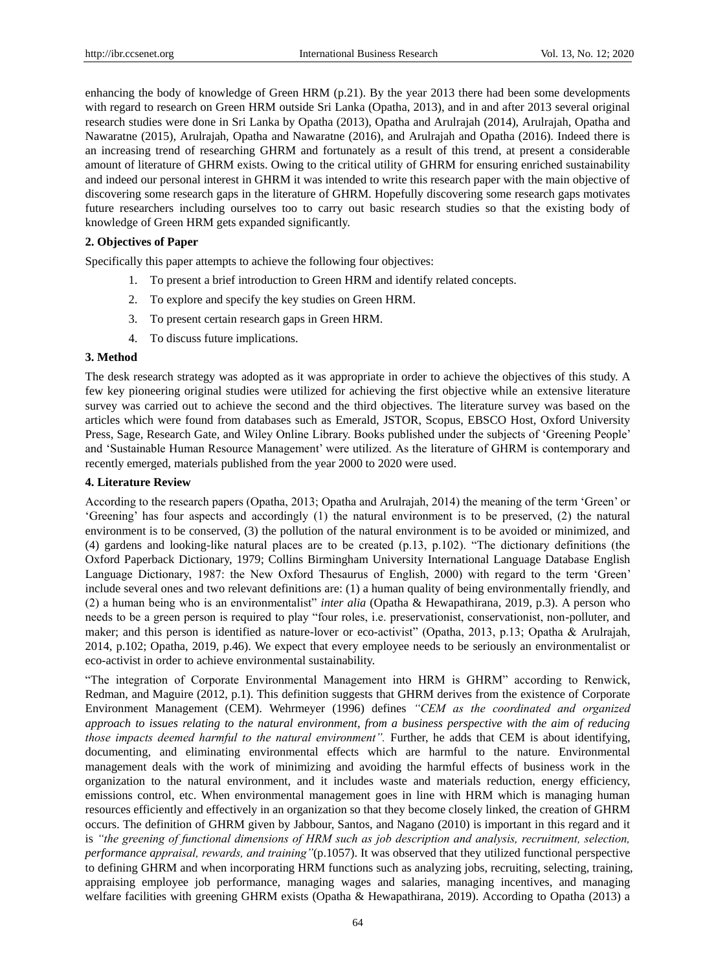enhancing the body of knowledge of Green HRM (p.21). By the year 2013 there had been some developments with regard to research on Green HRM outside Sri Lanka (Opatha, 2013), and in and after 2013 several original research studies were done in Sri Lanka by Opatha (2013), Opatha and Arulrajah (2014), Arulrajah, Opatha and Nawaratne (2015), Arulrajah, Opatha and Nawaratne (2016), and Arulrajah and Opatha (2016). Indeed there is an increasing trend of researching GHRM and fortunately as a result of this trend, at present a considerable amount of literature of GHRM exists. Owing to the critical utility of GHRM for ensuring enriched sustainability and indeed our personal interest in GHRM it was intended to write this research paper with the main objective of discovering some research gaps in the literature of GHRM. Hopefully discovering some research gaps motivates future researchers including ourselves too to carry out basic research studies so that the existing body of knowledge of Green HRM gets expanded significantly.

## **2. Objectives of Paper**

Specifically this paper attempts to achieve the following four objectives:

- 1. To present a brief introduction to Green HRM and identify related concepts.
- 2. To explore and specify the key studies on Green HRM.
- 3. To present certain research gaps in Green HRM.
- 4. To discuss future implications.

## **3. Method**

The desk research strategy was adopted as it was appropriate in order to achieve the objectives of this study. A few key pioneering original studies were utilized for achieving the first objective while an extensive literature survey was carried out to achieve the second and the third objectives. The literature survey was based on the articles which were found from databases such as Emerald, JSTOR, Scopus, EBSCO Host, Oxford University Press, Sage, Research Gate, and Wiley Online Library. Books published under the subjects of "Greening People" and "Sustainable Human Resource Management" were utilized. As the literature of GHRM is contemporary and recently emerged, materials published from the year 2000 to 2020 were used.

## **4. Literature Review**

According to the research papers (Opatha, 2013; Opatha and Arulrajah, 2014) the meaning of the term "Green" or "Greening" has four aspects and accordingly (1) the natural environment is to be preserved, (2) the natural environment is to be conserved, (3) the pollution of the natural environment is to be avoided or minimized, and (4) gardens and looking-like natural places are to be created (p.13, p.102). "The dictionary definitions (the Oxford Paperback Dictionary, 1979; Collins Birmingham University International Language Database English Language Dictionary, 1987: the New Oxford Thesaurus of English, 2000) with regard to the term "Green" include several ones and two relevant definitions are: (1) a human quality of being environmentally friendly, and (2) a human being who is an environmentalist" *inter alia* (Opatha & Hewapathirana, 2019, p.3). A person who needs to be a green person is required to play "four roles, i.e. preservationist, conservationist, non-polluter, and maker; and this person is identified as nature-lover or eco-activist" (Opatha, 2013, p.13; Opatha & Arulrajah, 2014, p.102; Opatha, 2019, p.46). We expect that every employee needs to be seriously an environmentalist or eco-activist in order to achieve environmental sustainability.

"The integration of Corporate Environmental Management into HRM is GHRM" according to Renwick, Redman, and Maguire (2012, p.1). This definition suggests that GHRM derives from the existence of Corporate Environment Management (CEM). Wehrmeyer (1996) defines *"CEM as the coordinated and organized approach to issues relating to the natural environment, from a business perspective with the aim of reducing those impacts deemed harmful to the natural environment".* Further, he adds that CEM is about identifying, documenting, and eliminating environmental effects which are harmful to the nature. Environmental management deals with the work of minimizing and avoiding the harmful effects of business work in the organization to the natural environment, and it includes waste and materials reduction, energy efficiency, emissions control, etc. When environmental management goes in line with HRM which is managing human resources efficiently and effectively in an organization so that they become closely linked, the creation of GHRM occurs. The definition of GHRM given by Jabbour, Santos, and Nagano (2010) is important in this regard and it is *"the greening of functional dimensions of HRM such as job description and analysis, recruitment, selection, performance appraisal, rewards, and training"*(p.1057). It was observed that they utilized functional perspective to defining GHRM and when incorporating HRM functions such as analyzing jobs, recruiting, selecting, training, appraising employee job performance, managing wages and salaries, managing incentives, and managing welfare facilities with greening GHRM exists (Opatha & Hewapathirana, 2019). According to Opatha (2013) a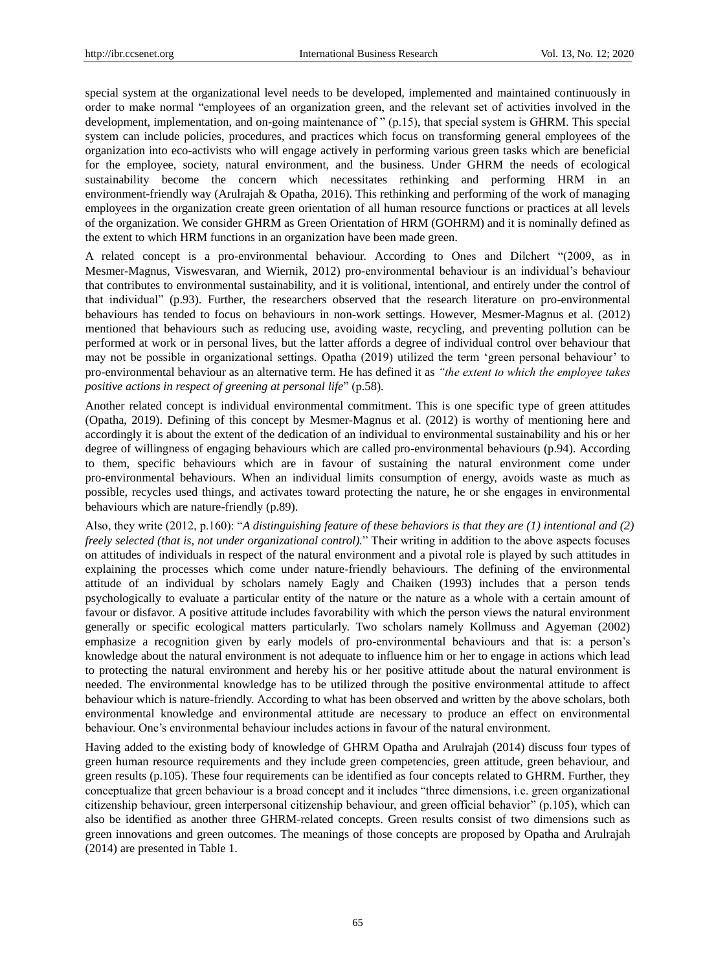special system at the organizational level needs to be developed, implemented and maintained continuously in order to make normal "employees of an organization green, and the relevant set of activities involved in the development, implementation, and on-going maintenance of " (p.15), that special system is GHRM. This special system can include policies, procedures, and practices which focus on transforming general employees of the organization into eco-activists who will engage actively in performing various green tasks which are beneficial for the employee, society, natural environment, and the business. Under GHRM the needs of ecological sustainability become the concern which necessitates rethinking and performing HRM in an environment-friendly way (Arulrajah & Opatha, 2016). This rethinking and performing of the work of managing employees in the organization create green orientation of all human resource functions or practices at all levels of the organization. We consider GHRM as Green Orientation of HRM (GOHRM) and it is nominally defined as the extent to which HRM functions in an organization have been made green.

A related concept is a pro-environmental behaviour. According to Ones and Dilchert "(2009, as in Mesmer-Magnus, Viswesvaran, and Wiernik, 2012) pro-environmental behaviour is an individual"s behaviour that contributes to environmental sustainability, and it is volitional, intentional, and entirely under the control of that individual" (p.93). Further, the researchers observed that the research literature on pro-environmental behaviours has tended to focus on behaviours in non-work settings. However, Mesmer-Magnus et al. (2012) mentioned that behaviours such as reducing use, avoiding waste, recycling, and preventing pollution can be performed at work or in personal lives, but the latter affords a degree of individual control over behaviour that may not be possible in organizational settings. Opatha (2019) utilized the term "green personal behaviour" to pro-environmental behaviour as an alternative term. He has defined it as *"the extent to which the employee takes positive actions in respect of greening at personal life*" (p.58).

Another related concept is individual environmental commitment. This is one specific type of green attitudes (Opatha, 2019). Defining of this concept by Mesmer-Magnus et al. (2012) is worthy of mentioning here and accordingly it is about the extent of the dedication of an individual to environmental sustainability and his or her degree of willingness of engaging behaviours which are called pro-environmental behaviours (p.94). According to them, specific behaviours which are in favour of sustaining the natural environment come under pro-environmental behaviours. When an individual limits consumption of energy, avoids waste as much as possible, recycles used things, and activates toward protecting the nature, he or she engages in environmental behaviours which are nature-friendly (p.89).

Also, they write (2012, p.160): "*A distinguishing feature of these behaviors is that they are (1) intentional and (2) freely selected (that is, not under organizational control).*" Their writing in addition to the above aspects focuses on attitudes of individuals in respect of the natural environment and a pivotal role is played by such attitudes in explaining the processes which come under nature-friendly behaviours. The defining of the environmental attitude of an individual by scholars namely Eagly and Chaiken (1993) includes that a person tends psychologically to evaluate a particular entity of the nature or the nature as a whole with a certain amount of favour or disfavor. A positive attitude includes favorability with which the person views the natural environment generally or specific ecological matters particularly. Two scholars namely Kollmuss and Agyeman (2002) emphasize a recognition given by early models of pro-environmental behaviours and that is: a person's knowledge about the natural environment is not adequate to influence him or her to engage in actions which lead to protecting the natural environment and hereby his or her positive attitude about the natural environment is needed. The environmental knowledge has to be utilized through the positive environmental attitude to affect behaviour which is nature-friendly. According to what has been observed and written by the above scholars, both environmental knowledge and environmental attitude are necessary to produce an effect on environmental behaviour. One"s environmental behaviour includes actions in favour of the natural environment.

Having added to the existing body of knowledge of GHRM Opatha and Arulrajah (2014) discuss four types of green human resource requirements and they include green competencies, green attitude, green behaviour, and green results (p.105). These four requirements can be identified as four concepts related to GHRM. Further, they conceptualize that green behaviour is a broad concept and it includes "three dimensions, i.e. green organizational citizenship behaviour, green interpersonal citizenship behaviour, and green official behavior" (p.105), which can also be identified as another three GHRM-related concepts. Green results consist of two dimensions such as green innovations and green outcomes. The meanings of those concepts are proposed by Opatha and Arulrajah (2014) are presented in Table 1.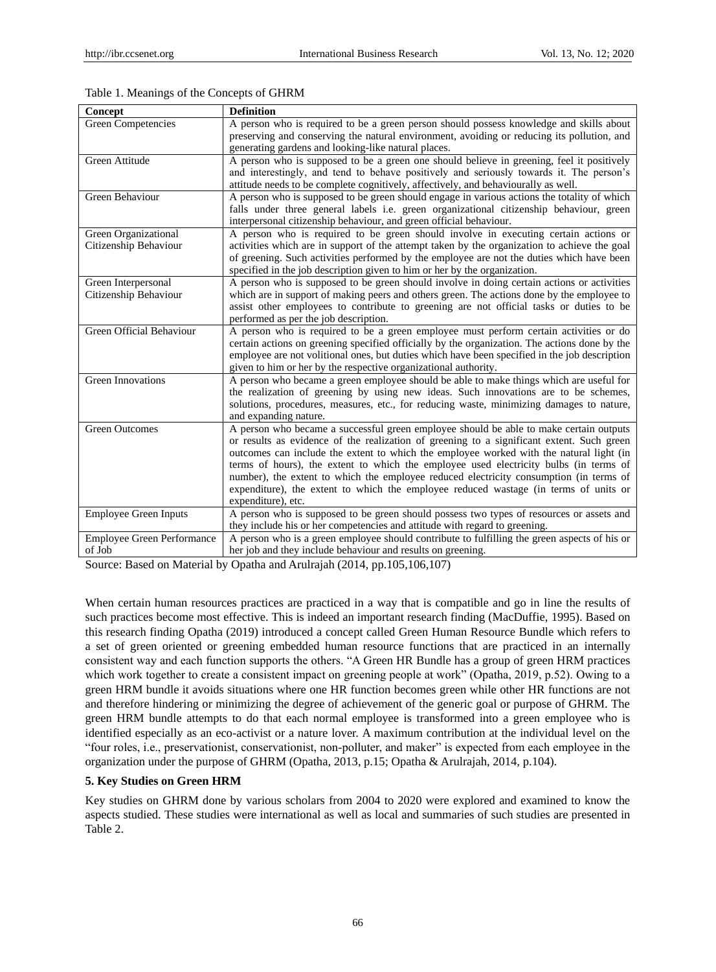| Concept                           | <b>Definition</b>                                                                              |
|-----------------------------------|------------------------------------------------------------------------------------------------|
| <b>Green Competencies</b>         | A person who is required to be a green person should possess knowledge and skills about        |
|                                   | preserving and conserving the natural environment, avoiding or reducing its pollution, and     |
|                                   | generating gardens and looking-like natural places.                                            |
| <b>Green Attitude</b>             | A person who is supposed to be a green one should believe in greening, feel it positively      |
|                                   | and interestingly, and tend to behave positively and seriously towards it. The person's        |
|                                   | attitude needs to be complete cognitively, affectively, and behaviourally as well.             |
| Green Behaviour                   | A person who is supposed to be green should engage in various actions the totality of which    |
|                                   | falls under three general labels <i>i.e.</i> green organizational citizenship behaviour, green |
|                                   | interpersonal citizenship behaviour, and green official behaviour.                             |
| Green Organizational              | A person who is required to be green should involve in executing certain actions or            |
| Citizenship Behaviour             | activities which are in support of the attempt taken by the organization to achieve the goal   |
|                                   | of greening. Such activities performed by the employee are not the duties which have been      |
|                                   | specified in the job description given to him or her by the organization.                      |
| Green Interpersonal               | A person who is supposed to be green should involve in doing certain actions or activities     |
| Citizenship Behaviour             | which are in support of making peers and others green. The actions done by the employee to     |
|                                   | assist other employees to contribute to greening are not official tasks or duties to be        |
|                                   | performed as per the job description.                                                          |
| Green Official Behaviour          | A person who is required to be a green employee must perform certain activities or do          |
|                                   | certain actions on greening specified officially by the organization. The actions done by the  |
|                                   | employee are not volitional ones, but duties which have been specified in the job description  |
|                                   | given to him or her by the respective organizational authority.                                |
| <b>Green Innovations</b>          | A person who became a green employee should be able to make things which are useful for        |
|                                   | the realization of greening by using new ideas. Such innovations are to be schemes,            |
|                                   | solutions, procedures, measures, etc., for reducing waste, minimizing damages to nature,       |
|                                   | and expanding nature.                                                                          |
| <b>Green Outcomes</b>             | A person who became a successful green employee should be able to make certain outputs         |
|                                   | or results as evidence of the realization of greening to a significant extent. Such green      |
|                                   | outcomes can include the extent to which the employee worked with the natural light (in        |
|                                   | terms of hours), the extent to which the employee used electricity bulbs (in terms of          |
|                                   | number), the extent to which the employee reduced electricity consumption (in terms of         |
|                                   | expenditure), the extent to which the employee reduced wastage (in terms of units or           |
|                                   | expenditure), etc.                                                                             |
| <b>Employee Green Inputs</b>      | A person who is supposed to be green should possess two types of resources or assets and       |
|                                   | they include his or her competencies and attitude with regard to greening.                     |
| <b>Employee Green Performance</b> | A person who is a green employee should contribute to fulfilling the green aspects of his or   |
| of Job                            | her job and they include behaviour and results on greening.                                    |

Table 1. Meanings of the Concepts of GHRM

Source: Based on Material by Opatha and Arulrajah (2014, pp.105,106,107)

When certain human resources practices are practiced in a way that is compatible and go in line the results of such practices become most effective. This is indeed an important research finding (MacDuffie, 1995). Based on this research finding Opatha (2019) introduced a concept called Green Human Resource Bundle which refers to a set of green oriented or greening embedded human resource functions that are practiced in an internally consistent way and each function supports the others. "A Green HR Bundle has a group of green HRM practices which work together to create a consistent impact on greening people at work" (Opatha, 2019, p.52). Owing to a green HRM bundle it avoids situations where one HR function becomes green while other HR functions are not and therefore hindering or minimizing the degree of achievement of the generic goal or purpose of GHRM. The green HRM bundle attempts to do that each normal employee is transformed into a green employee who is identified especially as an eco-activist or a nature lover. A maximum contribution at the individual level on the "four roles, i.e., preservationist, conservationist, non-polluter, and maker" is expected from each employee in the organization under the purpose of GHRM (Opatha, 2013, p.15; Opatha & Arulrajah, 2014, p.104).

## **5. Key Studies on Green HRM**

Key studies on GHRM done by various scholars from 2004 to 2020 were explored and examined to know the aspects studied. These studies were international as well as local and summaries of such studies are presented in Table 2.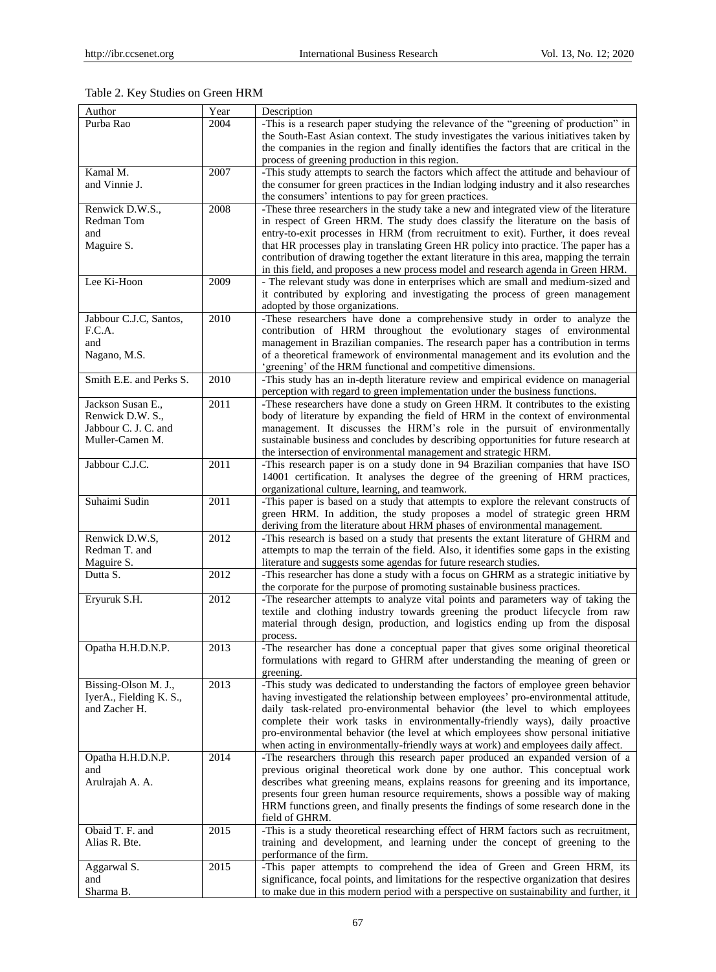| Author                    | Year              | Description                                                                                                                                                                   |
|---------------------------|-------------------|-------------------------------------------------------------------------------------------------------------------------------------------------------------------------------|
| Purba Rao                 | 2004              | -This is a research paper studying the relevance of the "greening of production" in                                                                                           |
|                           |                   | the South-East Asian context. The study investigates the various initiatives taken by                                                                                         |
|                           |                   | the companies in the region and finally identifies the factors that are critical in the                                                                                       |
|                           |                   | process of greening production in this region.                                                                                                                                |
| Kamal M.<br>and Vinnie J. | 2007              | -This study attempts to search the factors which affect the attitude and behaviour of                                                                                         |
|                           |                   | the consumer for green practices in the Indian lodging industry and it also researches<br>the consumers' intentions to pay for green practices.                               |
| Renwick D.W.S.,           | 2008              | -These three researchers in the study take a new and integrated view of the literature                                                                                        |
| Redman Tom                |                   | in respect of Green HRM. The study does classify the literature on the basis of                                                                                               |
| and                       |                   | entry-to-exit processes in HRM (from recruitment to exit). Further, it does reveal                                                                                            |
| Maguire S.                |                   | that HR processes play in translating Green HR policy into practice. The paper has a                                                                                          |
|                           |                   | contribution of drawing together the extant literature in this area, mapping the terrain<br>in this field, and proposes a new process model and research agenda in Green HRM. |
| Lee Ki-Hoon               | 2009              | - The relevant study was done in enterprises which are small and medium-sized and                                                                                             |
|                           |                   | it contributed by exploring and investigating the process of green management<br>adopted by those organizations.                                                              |
| Jabbour C.J.C, Santos,    | 2010              | -These researchers have done a comprehensive study in order to analyze the                                                                                                    |
| F.C.A.                    |                   | contribution of HRM throughout the evolutionary stages of environmental                                                                                                       |
| and                       |                   | management in Brazilian companies. The research paper has a contribution in terms                                                                                             |
| Nagano, M.S.              |                   | of a theoretical framework of environmental management and its evolution and the                                                                                              |
|                           | 2010              | 'greening' of the HRM functional and competitive dimensions.                                                                                                                  |
| Smith E.E. and Perks S.   |                   | -This study has an in-depth literature review and empirical evidence on managerial<br>perception with regard to green implementation under the business functions.            |
| Jackson Susan E.,         | 2011              | -These researchers have done a study on Green HRM. It contributes to the existing                                                                                             |
| Renwick D.W. S.,          |                   | body of literature by expanding the field of HRM in the context of environmental                                                                                              |
| Jabbour C. J. C. and      |                   | management. It discusses the HRM's role in the pursuit of environmentally                                                                                                     |
| Muller-Camen M.           |                   | sustainable business and concludes by describing opportunities for future research at                                                                                         |
| Jabbour C.J.C.            | 2011              | the intersection of environmental management and strategic HRM.<br>-This research paper is on a study done in 94 Brazilian companies that have ISO                            |
|                           |                   | 14001 certification. It analyses the degree of the greening of HRM practices,                                                                                                 |
|                           |                   | organizational culture, learning, and teamwork.                                                                                                                               |
| Suhaimi Sudin             | $\overline{2011}$ | -This paper is based on a study that attempts to explore the relevant constructs of                                                                                           |
|                           |                   | green HRM. In addition, the study proposes a model of strategic green HRM                                                                                                     |
|                           |                   | deriving from the literature about HRM phases of environmental management.                                                                                                    |
| Renwick D.W.S,            | 2012              | -This research is based on a study that presents the extant literature of GHRM and                                                                                            |
| Redman T. and             |                   | attempts to map the terrain of the field. Also, it identifies some gaps in the existing                                                                                       |
| Maguire S.                |                   | literature and suggests some agendas for future research studies.                                                                                                             |
| Dutta S.                  | 2012              | -This researcher has done a study with a focus on GHRM as a strategic initiative by<br>the corporate for the purpose of promoting sustainable business practices.             |
| Eryuruk S.H.              | 2012              | -The researcher attempts to analyze vital points and parameters way of taking the                                                                                             |
|                           |                   | textile and clothing industry towards greening the product lifecycle from raw                                                                                                 |
|                           |                   | material through design, production, and logistics ending up from the disposal                                                                                                |
|                           | 2013              | process.                                                                                                                                                                      |
| Opatha H.H.D.N.P.         |                   | -The researcher has done a conceptual paper that gives some original theoretical<br>formulations with regard to GHRM after understanding the meaning of green or              |
|                           |                   | greening.                                                                                                                                                                     |
| Bissing-Olson M. J.,      | 2013              | -This study was dedicated to understanding the factors of employee green behavior                                                                                             |
| IverA., Fielding K. S.,   |                   | having investigated the relationship between employees' pro-environmental attitude,                                                                                           |
| and Zacher H.             |                   | daily task-related pro-environmental behavior (the level to which employees                                                                                                   |
|                           |                   | complete their work tasks in environmentally-friendly ways), daily proactive                                                                                                  |
|                           |                   | pro-environmental behavior (the level at which employees show personal initiative<br>when acting in environmentally-friendly ways at work) and employees daily affect.        |
| Opatha H.H.D.N.P.         | 2014              | -The researchers through this research paper produced an expanded version of a                                                                                                |
| and                       |                   | previous original theoretical work done by one author. This conceptual work                                                                                                   |
| Arulrajah A. A.           |                   | describes what greening means, explains reasons for greening and its importance,                                                                                              |
|                           |                   | presents four green human resource requirements, shows a possible way of making                                                                                               |
|                           |                   | HRM functions green, and finally presents the findings of some research done in the                                                                                           |
|                           |                   | field of GHRM.                                                                                                                                                                |
| Obaid T. F. and           | 2015              | -This is a study theoretical researching effect of HRM factors such as recruitment,                                                                                           |
| Alias R. Bte.             |                   | training and development, and learning under the concept of greening to the                                                                                                   |
|                           |                   | performance of the firm.<br>-This paper attempts to comprehend the idea of Green and Green HRM, its                                                                           |
| Aggarwal S.<br>and        | 2015              | significance, focal points, and limitations for the respective organization that desires                                                                                      |
| Sharma B.                 |                   | to make due in this modern period with a perspective on sustainability and further, it                                                                                        |

# Table 2. Key Studies on Green HRM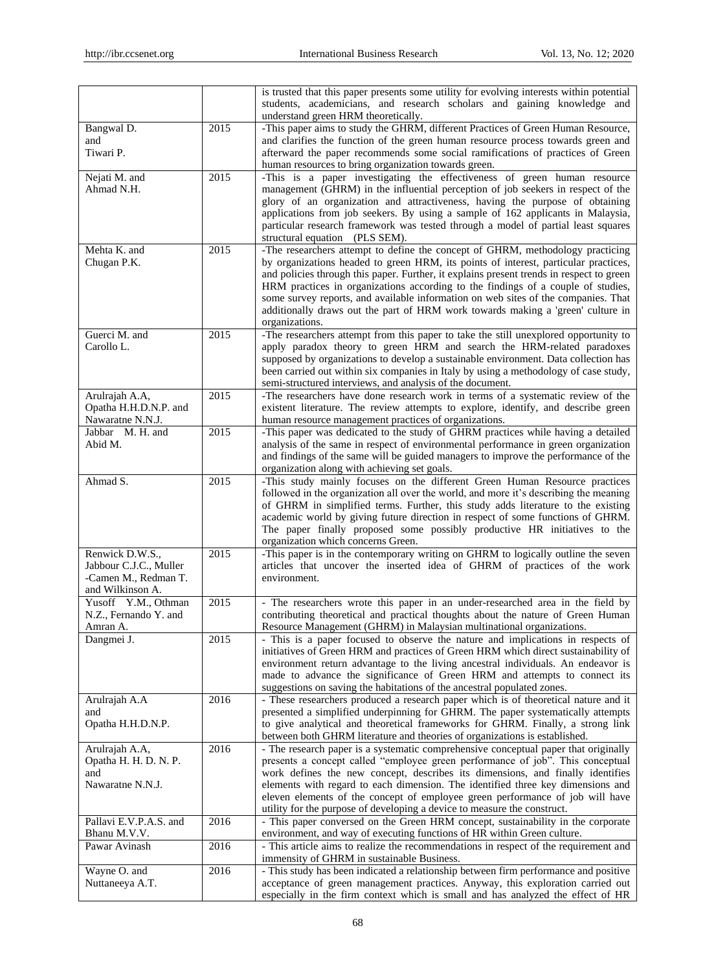|                                                                                       |              | is trusted that this paper presents some utility for evolving interests within potential<br>students, academicians, and research scholars and gaining knowledge and<br>understand green HRM theoretically.                                                                                                                                                                                                                                                                                                                                       |
|---------------------------------------------------------------------------------------|--------------|--------------------------------------------------------------------------------------------------------------------------------------------------------------------------------------------------------------------------------------------------------------------------------------------------------------------------------------------------------------------------------------------------------------------------------------------------------------------------------------------------------------------------------------------------|
| Bangwal D.<br>and<br>Tiwari P.                                                        | 2015         | -This paper aims to study the GHRM, different Practices of Green Human Resource,<br>and clarifies the function of the green human resource process towards green and<br>afterward the paper recommends some social ramifications of practices of Green<br>human resources to bring organization towards green.                                                                                                                                                                                                                                   |
| Nejati M. and<br>Ahmad N.H.                                                           | 2015         | -This is a paper investigating the effectiveness of green human resource<br>management (GHRM) in the influential perception of job seekers in respect of the<br>glory of an organization and attractiveness, having the purpose of obtaining<br>applications from job seekers. By using a sample of 162 applicants in Malaysia,<br>particular research framework was tested through a model of partial least squares<br>structural equation (PLS SEM).                                                                                           |
| Mehta K. and<br>Chugan P.K.                                                           | 2015         | -The researchers attempt to define the concept of GHRM, methodology practicing<br>by organizations headed to green HRM, its points of interest, particular practices,<br>and policies through this paper. Further, it explains present trends in respect to green<br>HRM practices in organizations according to the findings of a couple of studies,<br>some survey reports, and available information on web sites of the companies. That<br>additionally draws out the part of HRM work towards making a 'green' culture in<br>organizations. |
| Guerci M. and<br>Carollo L.                                                           | 2015         | -The researchers attempt from this paper to take the still unexplored opportunity to<br>apply paradox theory to green HRM and search the HRM-related paradoxes<br>supposed by organizations to develop a sustainable environment. Data collection has<br>been carried out within six companies in Italy by using a methodology of case study,<br>semi-structured interviews, and analysis of the document.                                                                                                                                       |
| Arulrajah A.A,<br>Opatha H.H.D.N.P. and<br>Nawaratne N.N.J.                           | 2015         | -The researchers have done research work in terms of a systematic review of the<br>existent literature. The review attempts to explore, identify, and describe green<br>human resource management practices of organizations.                                                                                                                                                                                                                                                                                                                    |
| Jabbar M. H. and<br>Abid M.                                                           | 2015         | -This paper was dedicated to the study of GHRM practices while having a detailed<br>analysis of the same in respect of environmental performance in green organization<br>and findings of the same will be guided managers to improve the performance of the<br>organization along with achieving set goals.                                                                                                                                                                                                                                     |
| Ahmad S.                                                                              | 2015         | -This study mainly focuses on the different Green Human Resource practices<br>followed in the organization all over the world, and more it's describing the meaning<br>of GHRM in simplified terms. Further, this study adds literature to the existing<br>academic world by giving future direction in respect of some functions of GHRM.<br>The paper finally proposed some possibly productive HR initiatives to the<br>organization which concerns Green.                                                                                    |
| Renwick D.W.S.,<br>Jabbour C.J.C., Muller<br>-Camen M., Redman T.<br>and Wilkinson A. | 2015         | -This paper is in the contemporary writing on GHRM to logically outline the seven<br>articles that uncover the inserted idea of GHRM of practices of the work<br>environment.                                                                                                                                                                                                                                                                                                                                                                    |
| Yusoff Y.M., Othman<br>N.Z., Fernando Y. and<br>Amran A.                              | 2015         | - The researchers wrote this paper in an under-researched area in the field by<br>contributing theoretical and practical thoughts about the nature of Green Human<br>Resource Management (GHRM) in Malaysian multinational organizations.                                                                                                                                                                                                                                                                                                        |
| Dangmei J.                                                                            | 2015         | - This is a paper focused to observe the nature and implications in respects of<br>initiatives of Green HRM and practices of Green HRM which direct sustainability of<br>environment return advantage to the living ancestral individuals. An endeavor is<br>made to advance the significance of Green HRM and attempts to connect its<br>suggestions on saving the habitations of the ancestral populated zones.                                                                                                                                |
| Arulrajah A.A<br>and<br>Opatha H.H.D.N.P.                                             | 2016         | - These researchers produced a research paper which is of theoretical nature and it<br>presented a simplified underpinning for GHRM. The paper systematically attempts<br>to give analytical and theoretical frameworks for GHRM. Finally, a strong link<br>between both GHRM literature and theories of organizations is established.                                                                                                                                                                                                           |
| Arulrajah A.A,<br>Opatha H. H. D. N. P.<br>and<br>Nawaratne N.N.J.                    | 2016         | - The research paper is a systematic comprehensive conceptual paper that originally<br>presents a concept called "employee green performance of job". This conceptual<br>work defines the new concept, describes its dimensions, and finally identifies<br>elements with regard to each dimension. The identified three key dimensions and<br>eleven elements of the concept of employee green performance of job will have<br>utility for the purpose of developing a device to measure the construct.                                          |
| Pallavi E.V.P.A.S. and<br>Bhanu M.V.V.<br>Pawar Avinash                               | 2016<br>2016 | - This paper conversed on the Green HRM concept, sustainability in the corporate<br>environment, and way of executing functions of HR within Green culture.<br>- This article aims to realize the recommendations in respect of the requirement and                                                                                                                                                                                                                                                                                              |
| Wayne O. and<br>Nuttaneeya A.T.                                                       | 2016         | immensity of GHRM in sustainable Business.<br>- This study has been indicated a relationship between firm performance and positive<br>acceptance of green management practices. Anyway, this exploration carried out<br>especially in the firm context which is small and has analyzed the effect of HR                                                                                                                                                                                                                                          |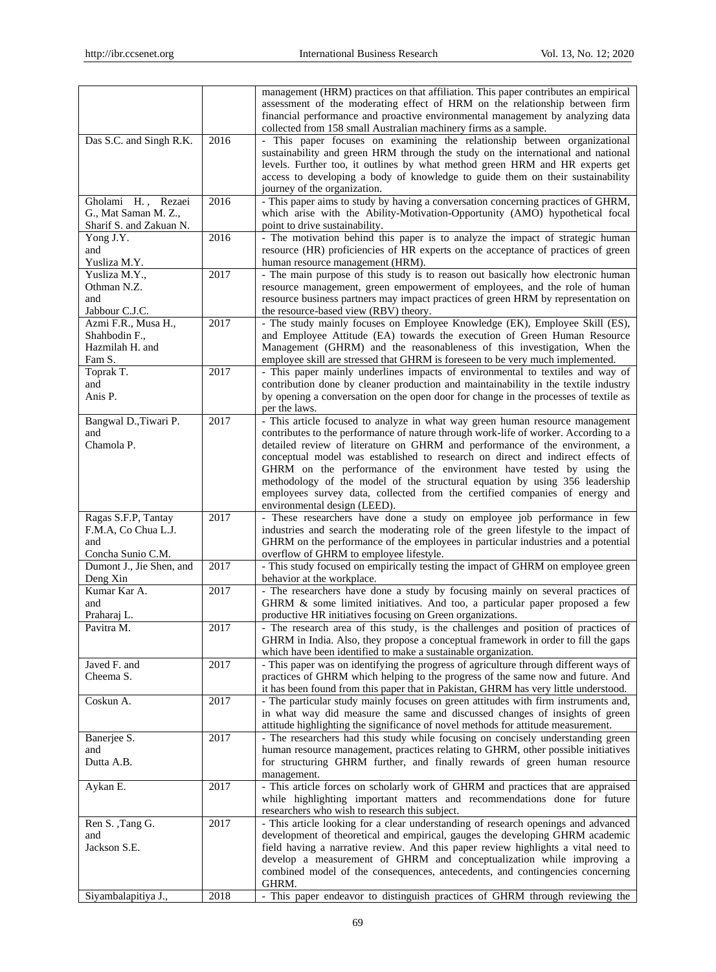|                                                 |      | management (HRM) practices on that affiliation. This paper contributes an empirical<br>assessment of the moderating effect of HRM on the relationship between firm<br>financial performance and proactive environmental management by analyzing data |
|-------------------------------------------------|------|------------------------------------------------------------------------------------------------------------------------------------------------------------------------------------------------------------------------------------------------------|
| Das S.C. and Singh R.K.                         | 2016 | collected from 158 small Australian machinery firms as a sample.<br>- This paper focuses on examining the relationship between organizational<br>sustainability and green HRM through the study on the international and national                    |
|                                                 |      | levels. Further too, it outlines by what method green HRM and HR experts get<br>access to developing a body of knowledge to guide them on their sustainability                                                                                       |
|                                                 |      | journey of the organization.                                                                                                                                                                                                                         |
| Gholami H.,<br>Rezaei                           | 2016 | - This paper aims to study by having a conversation concerning practices of GHRM,                                                                                                                                                                    |
| G., Mat Saman M. Z.,<br>Sharif S. and Zakuan N. |      | which arise with the Ability-Motivation-Opportunity (AMO) hypothetical focal<br>point to drive sustainability.                                                                                                                                       |
| Yong J.Y.                                       | 2016 | - The motivation behind this paper is to analyze the impact of strategic human                                                                                                                                                                       |
| and<br>Yusliza M.Y.                             |      | resource (HR) proficiencies of HR experts on the acceptance of practices of green<br>human resource management (HRM).                                                                                                                                |
| Yusliza M.Y.,                                   | 2017 | - The main purpose of this study is to reason out basically how electronic human                                                                                                                                                                     |
| Othman N.Z.                                     |      | resource management, green empowerment of employees, and the role of human                                                                                                                                                                           |
| and<br>Jabbour C.J.C.                           |      | resource business partners may impact practices of green HRM by representation on<br>the resource-based view (RBV) theory.                                                                                                                           |
| Azmi F.R., Musa H.,                             | 2017 | - The study mainly focuses on Employee Knowledge (EK), Employee Skill (ES),                                                                                                                                                                          |
| Shahbodin F.,                                   |      | and Employee Attitude (EA) towards the execution of Green Human Resource                                                                                                                                                                             |
| Hazmilah H. and<br>Fam S.                       |      | Management (GHRM) and the reasonableness of this investigation, When the<br>employee skill are stressed that GHRM is foreseen to be very much implemented.                                                                                           |
| Toprak T.                                       | 2017 | - This paper mainly underlines impacts of environmental to textiles and way of                                                                                                                                                                       |
| and                                             |      | contribution done by cleaner production and maintainability in the textile industry                                                                                                                                                                  |
| Anis P.                                         |      | by opening a conversation on the open door for change in the processes of textile as<br>per the laws.                                                                                                                                                |
| Bangwal D., Tiwari P.                           | 2017 | - This article focused to analyze in what way green human resource management                                                                                                                                                                        |
| and                                             |      | contributes to the performance of nature through work-life of worker. According to a                                                                                                                                                                 |
| Chamola P.                                      |      | detailed review of literature on GHRM and performance of the environment, a                                                                                                                                                                          |
|                                                 |      | conceptual model was established to research on direct and indirect effects of<br>GHRM on the performance of the environment have tested by using the                                                                                                |
|                                                 |      | methodology of the model of the structural equation by using 356 leadership                                                                                                                                                                          |
|                                                 |      | employees survey data, collected from the certified companies of energy and                                                                                                                                                                          |
| Ragas S.F.P, Tantay                             | 2017 | environmental design (LEED).<br>- These researchers have done a study on employee job performance in few                                                                                                                                             |
| F.M.A, Co Chua L.J.                             |      | industries and search the moderating role of the green lifestyle to the impact of                                                                                                                                                                    |
| and                                             |      | GHRM on the performance of the employees in particular industries and a potential                                                                                                                                                                    |
| Concha Sunio C.M.<br>Dumont J., Jie Shen, and   | 2017 | overflow of GHRM to employee lifestyle.<br>- This study focused on empirically testing the impact of GHRM on employee green                                                                                                                          |
| Deng Xin                                        |      | behavior at the workplace.                                                                                                                                                                                                                           |
| Kumar Kar A.                                    | 2017 | - The researchers have done a study by focusing mainly on several practices of                                                                                                                                                                       |
| and                                             |      | GHRM & some limited initiatives. And too, a particular paper proposed a few                                                                                                                                                                          |
| Praharaj L.<br>Pavitra M.                       | 2017 | productive HR initiatives focusing on Green organizations.<br>- The research area of this study, is the challenges and position of practices of                                                                                                      |
|                                                 |      | GHRM in India. Also, they propose a conceptual framework in order to fill the gaps                                                                                                                                                                   |
|                                                 |      | which have been identified to make a sustainable organization.                                                                                                                                                                                       |
| Javed F. and<br>Cheema S.                       | 2017 | - This paper was on identifying the progress of agriculture through different ways of<br>practices of GHRM which helping to the progress of the same now and future. And                                                                             |
|                                                 |      | it has been found from this paper that in Pakistan, GHRM has very little understood.                                                                                                                                                                 |
| Coskun A.                                       | 2017 | - The particular study mainly focuses on green attitudes with firm instruments and,                                                                                                                                                                  |
|                                                 |      | in what way did measure the same and discussed changes of insights of green                                                                                                                                                                          |
| Banerjee S.                                     | 2017 | attitude highlighting the significance of novel methods for attitude measurement.<br>- The researchers had this study while focusing on concisely understanding green                                                                                |
| and                                             |      | human resource management, practices relating to GHRM, other possible initiatives                                                                                                                                                                    |
| Dutta A.B.                                      |      | for structuring GHRM further, and finally rewards of green human resource                                                                                                                                                                            |
| Aykan E.                                        | 2017 | management.<br>- This article forces on scholarly work of GHRM and practices that are appraised                                                                                                                                                      |
|                                                 |      | while highlighting important matters and recommendations done for future                                                                                                                                                                             |
|                                                 |      | researchers who wish to research this subject.                                                                                                                                                                                                       |
| Ren S., Tang G.<br>and                          | 2017 | - This article looking for a clear understanding of research openings and advanced<br>development of theoretical and empirical, gauges the developing GHRM academic                                                                                  |
| Jackson S.E.                                    |      | field having a narrative review. And this paper review highlights a vital need to                                                                                                                                                                    |
|                                                 |      | develop a measurement of GHRM and conceptualization while improving a                                                                                                                                                                                |
|                                                 |      | combined model of the consequences, antecedents, and contingencies concerning                                                                                                                                                                        |
| Siyambalapitiya J.,                             | 2018 | GHRM.<br>- This paper endeavor to distinguish practices of GHRM through reviewing the                                                                                                                                                                |
|                                                 |      |                                                                                                                                                                                                                                                      |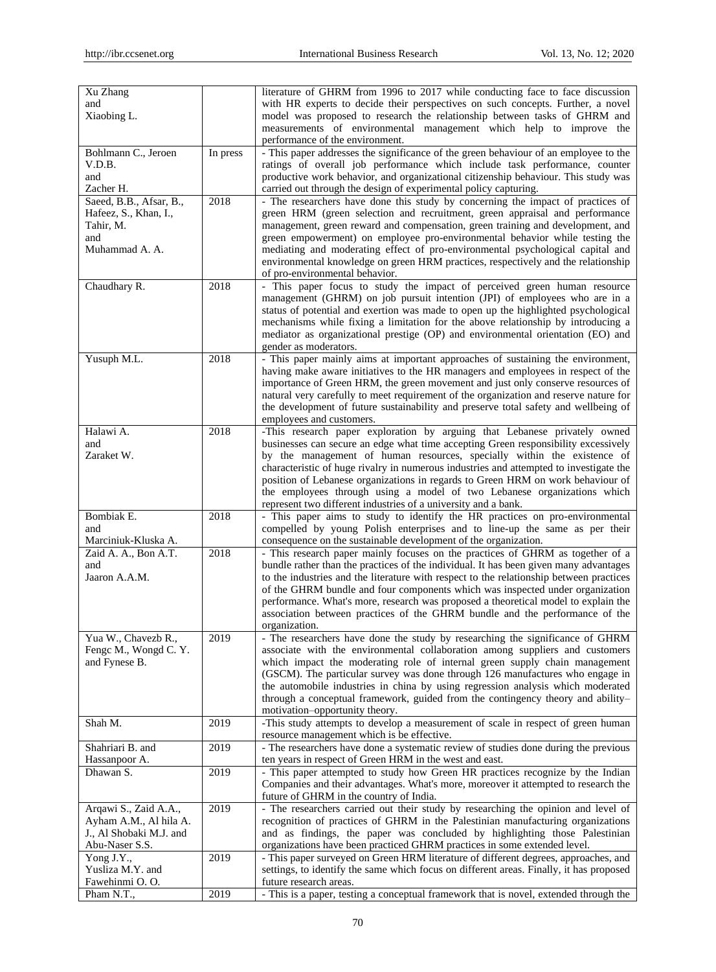| Xu Zhang                                          |          | literature of GHRM from 1996 to 2017 while conducting face to face discussion                                                                                            |
|---------------------------------------------------|----------|--------------------------------------------------------------------------------------------------------------------------------------------------------------------------|
| and                                               |          | with HR experts to decide their perspectives on such concepts. Further, a novel                                                                                          |
| Xiaobing L.                                       |          | model was proposed to research the relationship between tasks of GHRM and                                                                                                |
|                                                   |          | measurements of environmental management which help to improve the                                                                                                       |
|                                                   |          | performance of the environment.                                                                                                                                          |
| Bohlmann C., Jeroen<br>V.D.B.                     | In press | - This paper addresses the significance of the green behaviour of an employee to the<br>ratings of overall job performance which include task performance, counter       |
| and                                               |          | productive work behavior, and organizational citizenship behaviour. This study was                                                                                       |
| Zacher H.                                         |          | carried out through the design of experimental policy capturing.                                                                                                         |
| Saeed, B.B., Afsar, B.,                           | 2018     | - The researchers have done this study by concerning the impact of practices of                                                                                          |
| Hafeez, S., Khan, I.,                             |          | green HRM (green selection and recruitment, green appraisal and performance                                                                                              |
| Tahir, M.                                         |          | management, green reward and compensation, green training and development, and                                                                                           |
| and                                               |          | green empowerment) on employee pro-environmental behavior while testing the                                                                                              |
| Muhammad A. A.                                    |          | mediating and moderating effect of pro-environmental psychological capital and                                                                                           |
|                                                   |          | environmental knowledge on green HRM practices, respectively and the relationship                                                                                        |
|                                                   |          | of pro-environmental behavior.                                                                                                                                           |
| Chaudhary R.                                      | 2018     | - This paper focus to study the impact of perceived green human resource                                                                                                 |
|                                                   |          | management (GHRM) on job pursuit intention (JPI) of employees who are in a                                                                                               |
|                                                   |          | status of potential and exertion was made to open up the highlighted psychological                                                                                       |
|                                                   |          | mechanisms while fixing a limitation for the above relationship by introducing a                                                                                         |
|                                                   |          | mediator as organizational prestige (OP) and environmental orientation (EO) and                                                                                          |
|                                                   |          | gender as moderators.                                                                                                                                                    |
| Yusuph M.L.                                       | 2018     | - This paper mainly aims at important approaches of sustaining the environment,                                                                                          |
|                                                   |          | having make aware initiatives to the HR managers and employees in respect of the                                                                                         |
|                                                   |          | importance of Green HRM, the green movement and just only conserve resources of<br>natural very carefully to meet requirement of the organization and reserve nature for |
|                                                   |          | the development of future sustainability and preserve total safety and wellbeing of                                                                                      |
|                                                   |          | employees and customers.                                                                                                                                                 |
| Halawi A.                                         | 2018     | -This research paper exploration by arguing that Lebanese privately owned                                                                                                |
| and                                               |          | businesses can secure an edge what time accepting Green responsibility excessively                                                                                       |
| Zaraket W.                                        |          | by the management of human resources, specially within the existence of                                                                                                  |
|                                                   |          | characteristic of huge rivalry in numerous industries and attempted to investigate the                                                                                   |
|                                                   |          | position of Lebanese organizations in regards to Green HRM on work behaviour of                                                                                          |
|                                                   |          | the employees through using a model of two Lebanese organizations which                                                                                                  |
|                                                   |          | represent two different industries of a university and a bank.                                                                                                           |
| Bombiak E.                                        | 2018     | - This paper aims to study to identify the HR practices on pro-environmental                                                                                             |
| and                                               |          | compelled by young Polish enterprises and to line-up the same as per their                                                                                               |
|                                                   |          |                                                                                                                                                                          |
| Marciniuk-Kluska A.                               |          | consequence on the sustainable development of the organization.                                                                                                          |
| Zaid A. A., Bon A.T.                              | 2018     | - This research paper mainly focuses on the practices of GHRM as together of a                                                                                           |
| and                                               |          | bundle rather than the practices of the individual. It has been given many advantages                                                                                    |
| Jaaron A.A.M.                                     |          | to the industries and the literature with respect to the relationship between practices                                                                                  |
|                                                   |          | of the GHRM bundle and four components which was inspected under organization                                                                                            |
|                                                   |          | performance. What's more, research was proposed a theoretical model to explain the                                                                                       |
|                                                   |          | association between practices of the GHRM bundle and the performance of the                                                                                              |
|                                                   |          | organization.                                                                                                                                                            |
| Yua W., Chavezb R.,                               | 2019     | - The researchers have done the study by researching the significance of GHRM                                                                                            |
| Fengc M., Wongd C.Y.<br>and Fynese B.             |          | associate with the environmental collaboration among suppliers and customers<br>which impact the moderating role of internal green supply chain management               |
|                                                   |          | (GSCM). The particular survey was done through 126 manufactures who engage in                                                                                            |
|                                                   |          | the automobile industries in china by using regression analysis which moderated                                                                                          |
|                                                   |          | through a conceptual framework, guided from the contingency theory and ability-                                                                                          |
|                                                   |          | motivation-opportunity theory.                                                                                                                                           |
| Shah M.                                           | 2019     | -This study attempts to develop a measurement of scale in respect of green human                                                                                         |
|                                                   |          | resource management which is be effective.                                                                                                                               |
| Shahriari B. and                                  | 2019     | - The researchers have done a systematic review of studies done during the previous                                                                                      |
| Hassanpoor A.                                     |          | ten years in respect of Green HRM in the west and east.                                                                                                                  |
| Dhawan S.                                         | 2019     | - This paper attempted to study how Green HR practices recognize by the Indian                                                                                           |
|                                                   |          | Companies and their advantages. What's more, moreover it attempted to research the                                                                                       |
|                                                   |          | future of GHRM in the country of India.                                                                                                                                  |
| Arqawi S., Zaid A.A.,                             | 2019     | - The researchers carried out their study by researching the opinion and level of                                                                                        |
| Ayham A.M., Al hila A.<br>J., Al Shobaki M.J. and |          | recognition of practices of GHRM in the Palestinian manufacturing organizations                                                                                          |
| Abu-Naser S.S.                                    |          | and as findings, the paper was concluded by highlighting those Palestinian<br>organizations have been practiced GHRM practices in some extended level.                   |
| Yong J.Y.,                                        | 2019     | - This paper surveyed on Green HRM literature of different degrees, approaches, and                                                                                      |
| Yusliza M.Y. and                                  |          | settings, to identify the same which focus on different areas. Finally, it has proposed                                                                                  |
| Fawehinmi O.O.<br>Pham N.T.,                      | 2019     | future research areas.<br>- This is a paper, testing a conceptual framework that is novel, extended through the                                                          |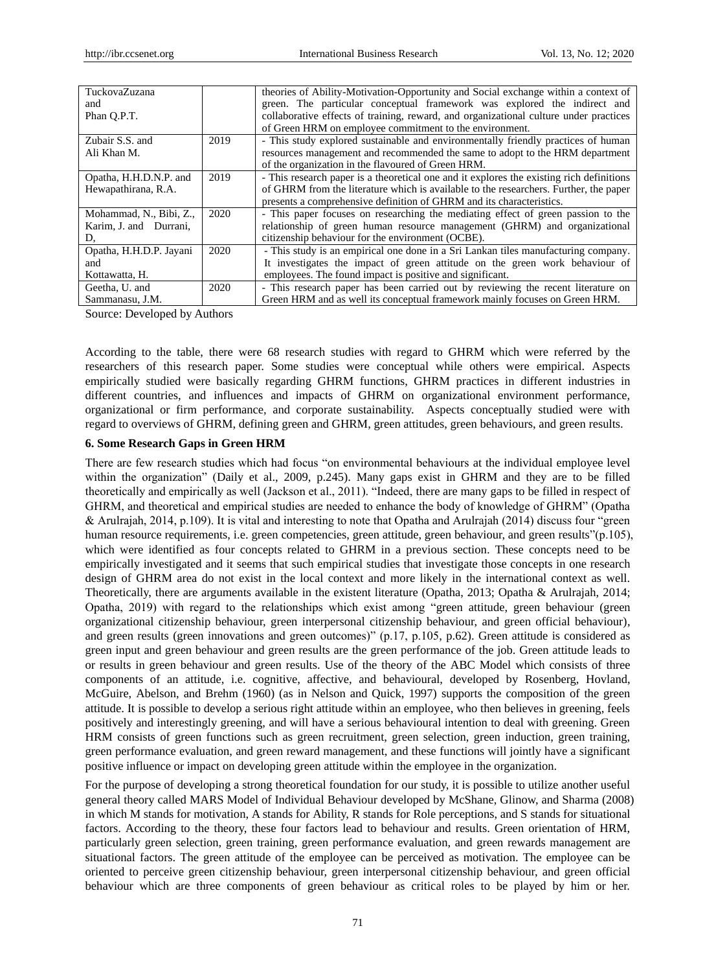| TuckovaZuzana           |      | theories of Ability-Motivation-Opportunity and Social exchange within a context of       |
|-------------------------|------|------------------------------------------------------------------------------------------|
| and                     |      | green. The particular conceptual framework was explored the indirect and                 |
| Phan O.P.T.             |      | collaborative effects of training, reward, and organizational culture under practices    |
|                         |      | of Green HRM on employee commitment to the environment.                                  |
| Zubair S.S. and         | 2019 | - This study explored sustainable and environmentally friendly practices of human        |
| Ali Khan M.             |      | resources management and recommended the same to adopt to the HRM department             |
|                         |      | of the organization in the flavoured of Green HRM.                                       |
| Opatha, H.H.D.N.P. and  | 2019 | - This research paper is a theoretical one and it explores the existing rich definitions |
| Hewapathirana, R.A.     |      | of GHRM from the literature which is available to the researchers. Further, the paper    |
|                         |      | presents a comprehensive definition of GHRM and its characteristics.                     |
| Mohammad, N., Bibi, Z., | 2020 | - This paper focuses on researching the mediating effect of green passion to the         |
| Karim, J. and Durrani,  |      | relationship of green human resource management (GHRM) and organizational                |
| D.                      |      | citizenship behaviour for the environment (OCBE).                                        |
| Opatha, H.H.D.P. Jayani | 2020 | - This study is an empirical one done in a Sri Lankan tiles manufacturing company.       |
| and                     |      | It investigates the impact of green attitude on the green work behaviour of              |
| Kottawatta, H.          |      | employees. The found impact is positive and significant.                                 |
| Geetha, U. and          | 2020 | - This research paper has been carried out by reviewing the recent literature on         |
| Sammanasu, J.M.         |      | Green HRM and as well its conceptual framework mainly focuses on Green HRM.              |

Source: Developed by Authors

According to the table, there were 68 research studies with regard to GHRM which were referred by the researchers of this research paper. Some studies were conceptual while others were empirical. Aspects empirically studied were basically regarding GHRM functions, GHRM practices in different industries in different countries, and influences and impacts of GHRM on organizational environment performance, organizational or firm performance, and corporate sustainability. Aspects conceptually studied were with regard to overviews of GHRM, defining green and GHRM, green attitudes, green behaviours, and green results.

## **6. Some Research Gaps in Green HRM**

There are few research studies which had focus "on environmental behaviours at the individual employee level within the organization" (Daily et al., 2009, p.245). Many gaps exist in GHRM and they are to be filled theoretically and empirically as well (Jackson et al., 2011). "Indeed, there are many gaps to be filled in respect of GHRM, and theoretical and empirical studies are needed to enhance the body of knowledge of GHRM" (Opatha & Arulrajah, 2014, p.109). It is vital and interesting to note that Opatha and Arulrajah (2014) discuss four "green human resource requirements, i.e. green competencies, green attitude, green behaviour, and green results"(p.105), which were identified as four concepts related to GHRM in a previous section. These concepts need to be empirically investigated and it seems that such empirical studies that investigate those concepts in one research design of GHRM area do not exist in the local context and more likely in the international context as well. Theoretically, there are arguments available in the existent literature (Opatha, 2013; Opatha & Arulrajah, 2014; Opatha, 2019) with regard to the relationships which exist among "green attitude, green behaviour (green organizational citizenship behaviour, green interpersonal citizenship behaviour, and green official behaviour), and green results (green innovations and green outcomes)" (p.17, p.105, p.62). Green attitude is considered as green input and green behaviour and green results are the green performance of the job. Green attitude leads to or results in green behaviour and green results. Use of the theory of the ABC Model which consists of three components of an attitude, i.e. cognitive, affective, and behavioural, developed by Rosenberg, Hovland, McGuire, Abelson, and Brehm (1960) (as in Nelson and Quick, 1997) supports the composition of the green attitude. It is possible to develop a serious right attitude within an employee, who then believes in greening, feels positively and interestingly greening, and will have a serious behavioural intention to deal with greening. Green HRM consists of green functions such as green recruitment, green selection, green induction, green training, green performance evaluation, and green reward management, and these functions will jointly have a significant positive influence or impact on developing green attitude within the employee in the organization.

For the purpose of developing a strong theoretical foundation for our study, it is possible to utilize another useful general theory called MARS Model of Individual Behaviour developed by McShane, Glinow, and Sharma (2008) in which M stands for motivation, A stands for Ability, R stands for Role perceptions, and S stands for situational factors. According to the theory, these four factors lead to behaviour and results. Green orientation of HRM, particularly green selection, green training, green performance evaluation, and green rewards management are situational factors. The green attitude of the employee can be perceived as motivation. The employee can be oriented to perceive green citizenship behaviour, green interpersonal citizenship behaviour, and green official behaviour which are three components of green behaviour as critical roles to be played by him or her.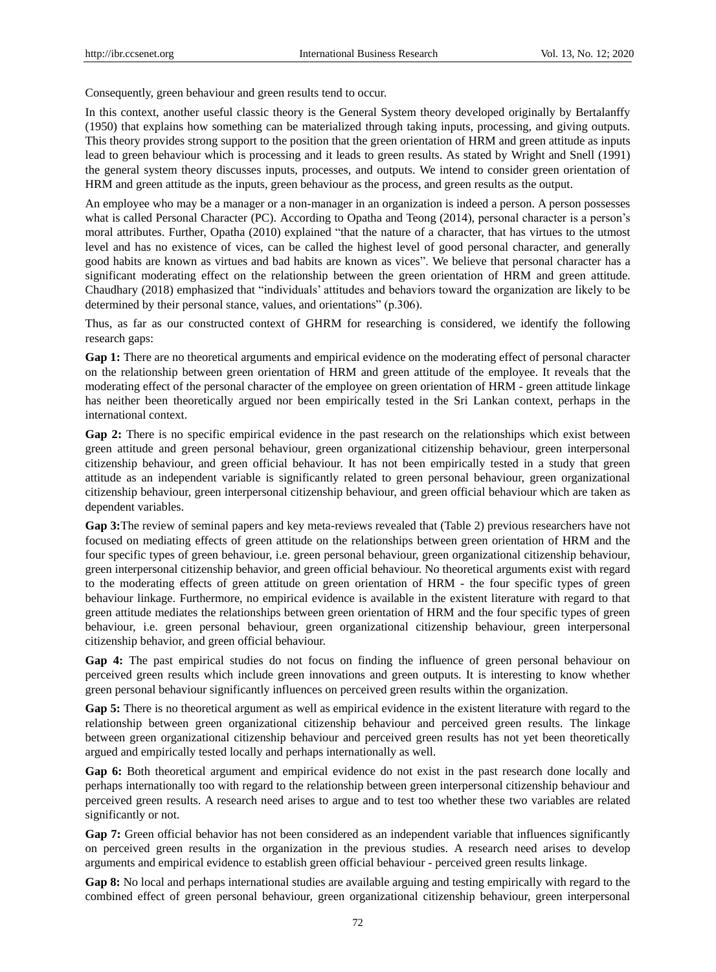Consequently, green behaviour and green results tend to occur.

In this context, another useful classic theory is the General System theory developed originally by Bertalanffy (1950) that explains how something can be materialized through taking inputs, processing, and giving outputs. This theory provides strong support to the position that the green orientation of HRM and green attitude as inputs lead to green behaviour which is processing and it leads to green results. As stated by Wright and Snell (1991) the general system theory discusses inputs, processes, and outputs. We intend to consider green orientation of HRM and green attitude as the inputs, green behaviour as the process, and green results as the output.

An employee who may be a manager or a non-manager in an organization is indeed a person. A person possesses what is called Personal Character (PC). According to Opatha and Teong (2014), personal character is a person's moral attributes. Further, Opatha (2010) explained "that the nature of a character, that has virtues to the utmost level and has no existence of vices, can be called the highest level of good personal character, and generally good habits are known as virtues and bad habits are known as vices". We believe that personal character has a significant moderating effect on the relationship between the green orientation of HRM and green attitude. Chaudhary (2018) emphasized that "individuals" attitudes and behaviors toward the organization are likely to be determined by their personal stance, values, and orientations" (p.306).

Thus, as far as our constructed context of GHRM for researching is considered, we identify the following research gaps:

**Gap 1:** There are no theoretical arguments and empirical evidence on the moderating effect of personal character on the relationship between green orientation of HRM and green attitude of the employee. It reveals that the moderating effect of the personal character of the employee on green orientation of HRM - green attitude linkage has neither been theoretically argued nor been empirically tested in the Sri Lankan context, perhaps in the international context.

**Gap 2:** There is no specific empirical evidence in the past research on the relationships which exist between green attitude and green personal behaviour, green organizational citizenship behaviour, green interpersonal citizenship behaviour, and green official behaviour. It has not been empirically tested in a study that green attitude as an independent variable is significantly related to green personal behaviour, green organizational citizenship behaviour, green interpersonal citizenship behaviour, and green official behaviour which are taken as dependent variables.

**Gap 3:**The review of seminal papers and key meta-reviews revealed that (Table 2) previous researchers have not focused on mediating effects of green attitude on the relationships between green orientation of HRM and the four specific types of green behaviour, i.e. green personal behaviour, green organizational citizenship behaviour, green interpersonal citizenship behavior, and green official behaviour. No theoretical arguments exist with regard to the moderating effects of green attitude on green orientation of HRM - the four specific types of green behaviour linkage. Furthermore, no empirical evidence is available in the existent literature with regard to that green attitude mediates the relationships between green orientation of HRM and the four specific types of green behaviour, i.e. green personal behaviour, green organizational citizenship behaviour, green interpersonal citizenship behavior, and green official behaviour.

**Gap 4:** The past empirical studies do not focus on finding the influence of green personal behaviour on perceived green results which include green innovations and green outputs. It is interesting to know whether green personal behaviour significantly influences on perceived green results within the organization.

**Gap 5:** There is no theoretical argument as well as empirical evidence in the existent literature with regard to the relationship between green organizational citizenship behaviour and perceived green results. The linkage between green organizational citizenship behaviour and perceived green results has not yet been theoretically argued and empirically tested locally and perhaps internationally as well.

**Gap 6:** Both theoretical argument and empirical evidence do not exist in the past research done locally and perhaps internationally too with regard to the relationship between green interpersonal citizenship behaviour and perceived green results. A research need arises to argue and to test too whether these two variables are related significantly or not.

Gap 7: Green official behavior has not been considered as an independent variable that influences significantly on perceived green results in the organization in the previous studies. A research need arises to develop arguments and empirical evidence to establish green official behaviour - perceived green results linkage.

**Gap 8:** No local and perhaps international studies are available arguing and testing empirically with regard to the combined effect of green personal behaviour, green organizational citizenship behaviour, green interpersonal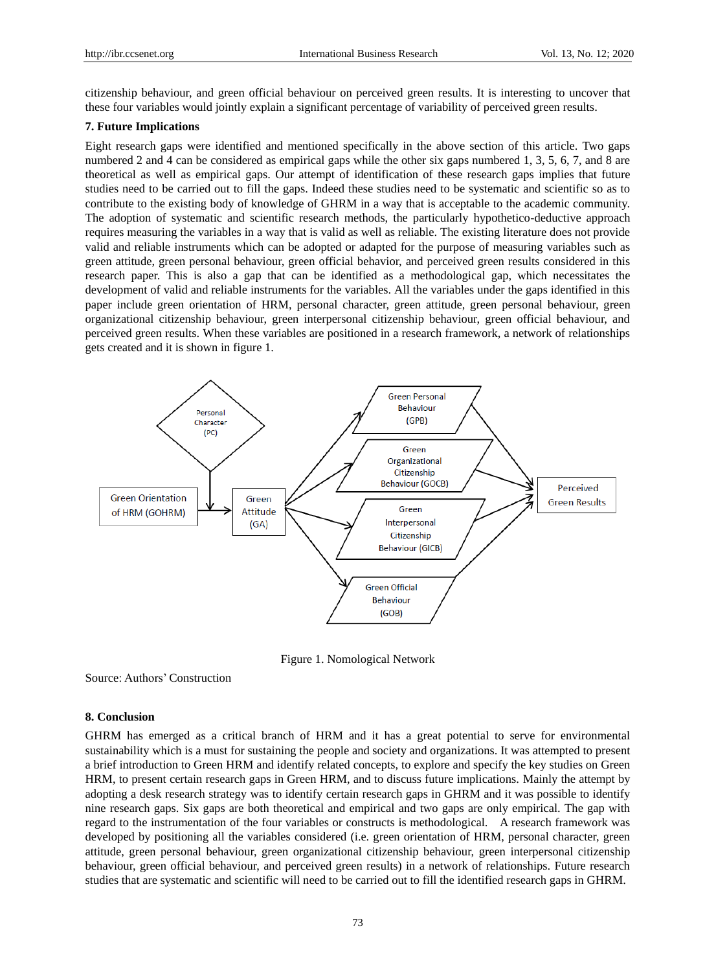citizenship behaviour, and green official behaviour on perceived green results. It is interesting to uncover that these four variables would jointly explain a significant percentage of variability of perceived green results.

## **7. Future Implications**

Eight research gaps were identified and mentioned specifically in the above section of this article. Two gaps numbered 2 and 4 can be considered as empirical gaps while the other six gaps numbered 1, 3, 5, 6, 7, and 8 are theoretical as well as empirical gaps. Our attempt of identification of these research gaps implies that future studies need to be carried out to fill the gaps. Indeed these studies need to be systematic and scientific so as to contribute to the existing body of knowledge of GHRM in a way that is acceptable to the academic community. The adoption of systematic and scientific research methods, the particularly hypothetico-deductive approach requires measuring the variables in a way that is valid as well as reliable. The existing literature does not provide valid and reliable instruments which can be adopted or adapted for the purpose of measuring variables such as green attitude, green personal behaviour, green official behavior, and perceived green results considered in this research paper. This is also a gap that can be identified as a methodological gap, which necessitates the development of valid and reliable instruments for the variables. All the variables under the gaps identified in this paper include green orientation of HRM, personal character, green attitude, green personal behaviour, green organizational citizenship behaviour, green interpersonal citizenship behaviour, green official behaviour, and perceived green results. When these variables are positioned in a research framework, a network of relationships gets created and it is shown in figure 1.



Figure 1. Nomological Network

Source: Authors" Construction

#### **8. Conclusion**

GHRM has emerged as a critical branch of HRM and it has a great potential to serve for environmental sustainability which is a must for sustaining the people and society and organizations. It was attempted to present a brief introduction to Green HRM and identify related concepts, to explore and specify the key studies on Green HRM, to present certain research gaps in Green HRM, and to discuss future implications. Mainly the attempt by adopting a desk research strategy was to identify certain research gaps in GHRM and it was possible to identify nine research gaps. Six gaps are both theoretical and empirical and two gaps are only empirical. The gap with regard to the instrumentation of the four variables or constructs is methodological. A research framework was developed by positioning all the variables considered (i.e. green orientation of HRM, personal character, green attitude, green personal behaviour, green organizational citizenship behaviour, green interpersonal citizenship behaviour, green official behaviour, and perceived green results) in a network of relationships. Future research studies that are systematic and scientific will need to be carried out to fill the identified research gaps in GHRM.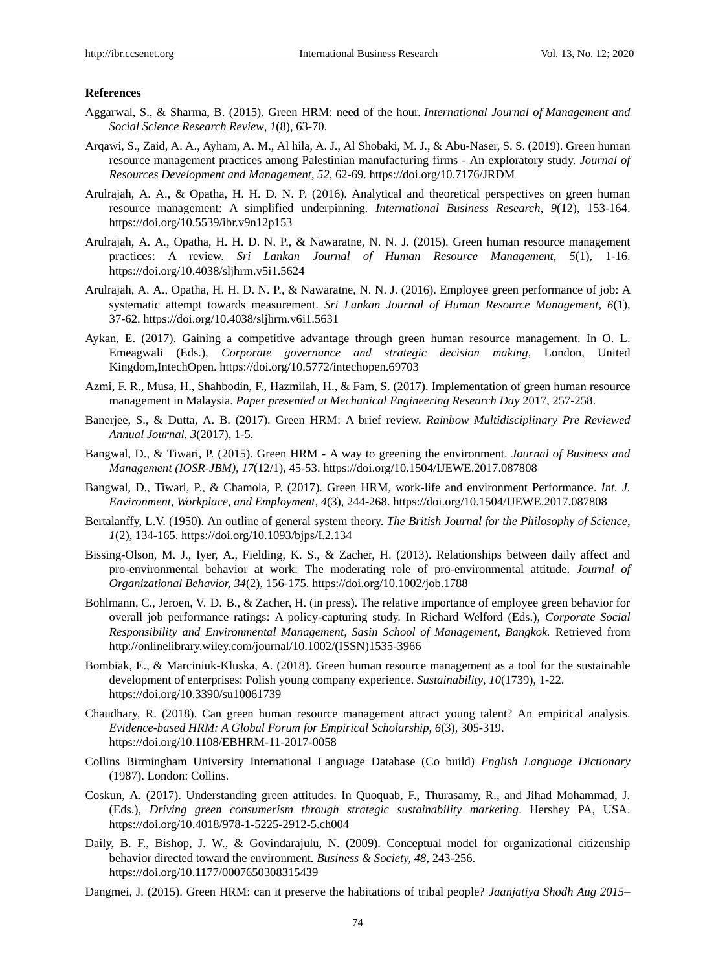#### **References**

- Aggarwal, S., & Sharma, B. (2015). Green HRM: need of the hour. *International Journal of Management and Social Science Research Review*, *1*(8), 63-70.
- Arqawi, S., Zaid, A. A., Ayham, A. M., Al hila, A. J., Al Shobaki, M. J., & Abu-Naser, S. S. (2019). Green human resource management practices among Palestinian manufacturing firms - An exploratory study. *Journal of Resources Development and Management*, *52*, 62-69.<https://doi.org/10.7176/JRDM>
- Arulrajah, A. A., & Opatha, H. H. D. N. P. (2016). Analytical and theoretical perspectives on green human resource management: A simplified underpinning*. International Business Research*, *9*(12), 153-164. https://doi.org/10.5539/ibr.v9n12p153
- Arulrajah, A. A., Opatha, H. H. D. N. P., & Nawaratne, N. N. J. (2015). Green human resource management practices: A review. *Sri Lankan Journal of Human Resource Management, 5*(1), 1-16. <https://doi.org/10.4038/sljhrm.v5i1.5624>
- Arulrajah, A. A., Opatha, H. H. D. N. P., & Nawaratne, N. N. J. (2016). Employee green performance of job: A systematic attempt towards measurement. *Sri Lankan Journal of Human Resource Management*, *6*(1), 37-62. <https://doi.org/10.4038/sljhrm.v6i1.5631>
- Aykan, E. (2017). Gaining a competitive advantage through green human resource management. In O. L. Emeagwali (Eds.), *Corporate governance and strategic decision making,* London, United Kingdom,IntechOpen. https://doi.org/10.5772/intechopen.69703
- Azmi, F. R., Musa, H., Shahbodin, F., Hazmilah, H., & Fam, S. (2017). Implementation of green human resource management in Malaysia. *Paper presented at Mechanical Engineering Research Day* 2017, 257-258.
- Banerjee, S., & Dutta, A. B. (2017). Green HRM: A brief review. *Rainbow Multidisciplinary Pre Reviewed Annual Journal*, *3*(2017), 1-5.
- Bangwal, D., & Tiwari, P. (2015). Green HRM A way to greening the environment. *Journal of Business and Management (IOSR-JBM), 17*(12/1), 45-53.<https://doi.org/10.1504/IJEWE.2017.087808>
- Bangwal, D., Tiwari, P., & Chamola, P. (2017). Green HRM, work-life and environment Performance. *Int. J. Environment, Workplace, and Employment*, *4*(3), 244-268. https://doi.org/10.1504/IJEWE.2017.087808
- Bertalanffy, L.V. (1950). An outline of general system theory. *The British Journal for the Philosophy of Science*, *1*(2), 134-165. https://doi.org/10.1093/bjps/I.2.134
- Bissing-Olson, M. J., Iyer, A., Fielding, K. S., & Zacher, H. (2013). Relationships between daily affect and pro-environmental behavior at work: The moderating role of pro-environmental attitude. *Journal of Organizational Behavior, 34*(2), 156-175. <https://doi.org/10.1002/job.1788>
- Bohlmann, C., Jeroen, V. D. B., & Zacher, H. (in press). The relative importance of employee green behavior for overall job performance ratings: A policy-capturing study. In Richard Welford (Eds.), *Corporate Social Responsibility and Environmental Management, Sasin School of Management, Bangkok.* Retrieved from [http://onlinelibrary.wiley.com/journal/10.1002/\(ISSN\)1535-3966](http://onlinelibrary.wiley.com/journal/10.1002/(ISSN)1535-3966)
- Bombiak, E., & Marciniuk-Kluska, A. (2018). Green human resource management as a tool for the sustainable development of enterprises: Polish young company experience. *Sustainability*, *10*(1739), 1-22. https://doi.org/10.3390/su10061739
- Chaudhary, R. (2018). Can green human resource management attract young talent? An empirical analysis. *Evidence-based HRM: A Global Forum for Empirical Scholarship*, *6*(3)*,* 305-319. <https://doi.org/10.1108/EBHRM-11-2017-0058>
- Collins Birmingham University International Language Database (Co build) *English Language Dictionary*  (1987). London: Collins.
- Coskun, A. (2017). Understanding green attitudes. In Quoquab, F., Thurasamy, R., and Jihad Mohammad, J. (Eds.), *Driving green consumerism through strategic sustainability marketing*. Hershey PA, USA. https://doi.org/10.4018/978-1-5225-2912-5.ch004
- Daily, B. F., Bishop, J. W., & Govindarajulu, N. (2009). Conceptual model for organizational citizenship behavior directed toward the environment. *Business & Society, 48*, 243-256. <https://doi.org/10.1177/0007650308315439>
- Dangmei, J. (2015). Green HRM: can it preserve the habitations of tribal people? *Jaanjatiya Shodh Aug 2015–*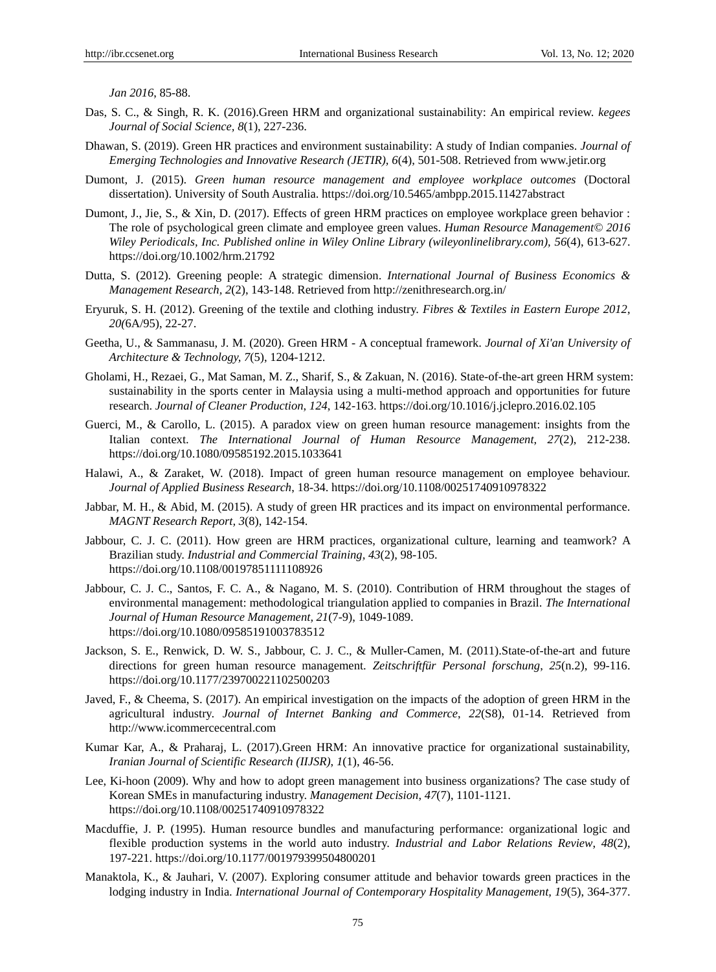*Jan 2016*, 85-88.

- Das, S. C., & Singh, R. K. (2016).Green HRM and organizational sustainability: An empirical review. *kegees Journal of Social Science, 8*(1), 227-236.
- Dhawan, S. (2019). Green HR practices and environment sustainability: A study of Indian companies. *Journal of Emerging Technologies and Innovative Research (JETIR), 6*(4), 501-508. Retrieved from www.jetir.org
- Dumont, J. (2015). *Green human resource management and employee workplace outcomes* (Doctoral dissertation). University of South Australi[a.](https://doi.org/10.5465/ambpp.2015.11427abstract) https://doi.org/10.5465/ambpp.2015.11427abstract
- Dumont, J., Jie, S., & Xin, D. (2017). Effects of green HRM practices on employee workplace green behavior : The role of psychological green climate and employee green values. *Human Resource Management© 2016 Wiley Periodicals, Inc. Published online in Wiley Online Library (wileyonlinelibrary.com), 56*(4), 613-627. https://doi.org/10.1002/hrm.21792
- Dutta, S. (2012). Greening people: A strategic dimension. *International Journal of Business Economics & Management Research, 2*(2), 143-148. Retrieved from <http://zenithresearch.org.in/>
- Eryuruk, S. H. (2012). Greening of the textile and clothing industry. *Fibres & Textiles in Eastern Europe 2012*, *20(*6A/95), 22-27.
- Geetha, U., & Sammanasu, J. M. (2020). Green HRM A conceptual framework. *Journal of Xi'an University of Architecture & Technology, 7*(5), 1204-1212.
- Gholami, H., Rezaei, G., Mat Saman, M. Z., Sharif, S., & Zakuan, N. (2016). State-of-the-art green HRM system: sustainability in the sports center in Malaysia using a multi-method approach and opportunities for future research. *Journal of Cleaner Production*, *124*, 142-163.<https://doi.org/10.1016/j.jclepro.2016.02.105>
- Guerci, M., & Carollo, L. (2015). A paradox view on green human resource management: insights from the Italian context. *The International Journal of Human Resource Management*, *27*(2), 212-238. <https://doi.org/10.1080/09585192.2015.1033641>
- Halawi, A., & Zaraket, W. (2018). Impact of green human resource management on employee behaviour. *Journal of Applied Business Research*, 18-34. https://doi.org/10.1108/00251740910978322
- Jabbar, M. H., & Abid, M. (2015). A study of green HR practices and its impact on environmental performance. *MAGNT Research Report, 3*(8), 142-154.
- Jabbour, C. J. C. (2011). How green are HRM practices, organizational culture, learning and teamwork? A Brazilian study. *Industrial and Commercial Training, 43*(2), 98-105. https://doi.org/10.1108/00197851111108926
- Jabbour, C. J. C., Santos, F. C. A., & Nagano, M. S. (2010). Contribution of HRM throughout the stages of environmental management: methodological triangulation applied to companies in Brazil. *The International Journal of Human Resource Management, 21*(7-9), 1049-1089. <https://doi.org/10.1080/09585191003783512>
- Jackson, S. E., Renwick, D. W. S., Jabbour, C. J. C., & Muller-Camen, M. (2011).State-of-the-art and future directions for green human resource management. *Zeitschriftfür Personal forschung*, *25*(n.2), 99-116. <https://doi.org/10.1177/239700221102500203>
- Javed, F., & Cheema, S. (2017). An empirical investigation on the impacts of the adoption of green HRM in the agricultural industry. *Journal of Internet Banking and Commerce*, *22*(S8), 01-14. Retrieved from [http://www.icommercecentral.com](http://www.icommercecentral.com/)
- Kumar Kar, A., & Praharaj, L. (2017).Green HRM: An innovative practice for organizational sustainability, *Iranian Journal of Scientific Research (IIJSR)*, *1*(1), 46-56.
- Lee, Ki-hoon (2009). Why and how to adopt green management into business organizations? The case study of Korean SMEs in manufacturing industry. *Management Decision*, *47*(7), 1101-1121. https://doi.org/10.1108/00251740910978322
- Macduffie, J. P. (1995). Human resource bundles and manufacturing performance: organizational logic and flexible production systems in the world auto industry. *Industrial and Labor Relations Review*, *48*(2), 197-221. https://doi.org/10.1177/001979399504800201
- Manaktola, K., & Jauhari, V. (2007). Exploring consumer attitude and behavior towards green practices in the lodging industry in India. *International Journal of Contemporary Hospitality Management, 19*(5), 364-377.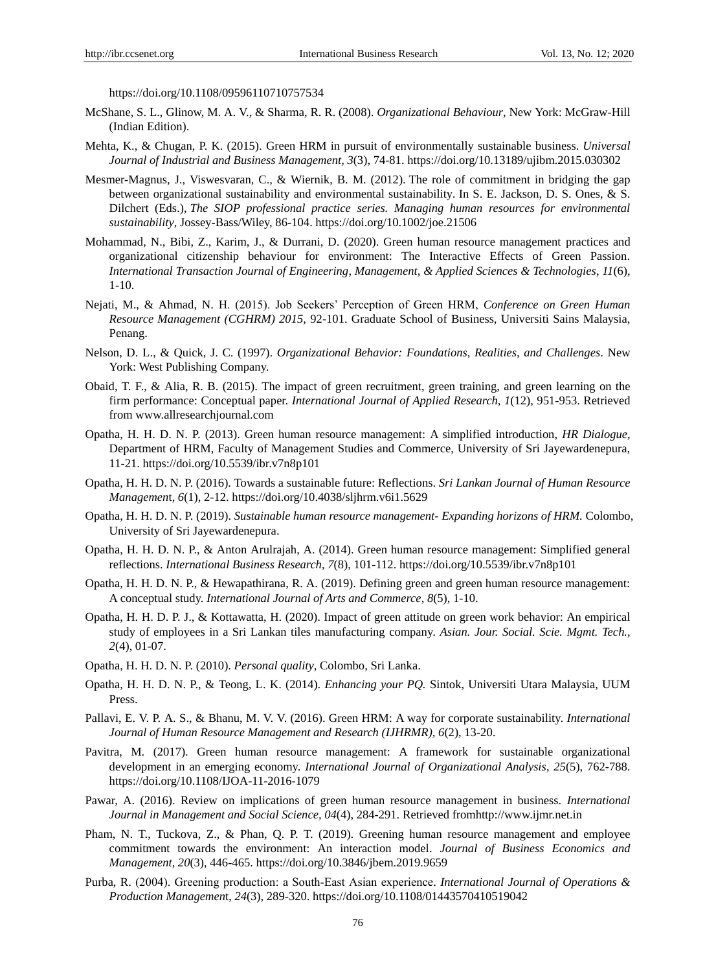<https://doi.org/10.1108/09596110710757534>

- McShane, S. L., Glinow, M. A. V., & Sharma, R. R. (2008). *Organizational Behaviour*, New York: McGraw-Hill (Indian Edition).
- Mehta, K., & Chugan, P. K. (2015). Green HRM in pursuit of environmentally sustainable business. *Universal Journal of Industrial and Business Management, 3*(3), 74-81. https://doi.org/10.13189/ujibm.2015.030302
- Mesmer-Magnus, J., Viswesvaran, C., & Wiernik, B. M. (2012). The role of commitment in bridging the gap between organizational sustainability and environmental sustainability*.* In S. E. Jackson, D. S. Ones, & S. Dilchert (Eds.), *The SIOP professional practice series. Managing human resources for environmental sustainability*, Jossey-Bass/Wiley, 86-104. https://doi.org/10.1002/joe.21506
- Mohammad, N., Bibi, Z., Karim, J., & Durrani, D. (2020). Green human resource management practices and organizational citizenship behaviour for environment: The Interactive Effects of Green Passion. *International Transaction Journal of Engineering, Management, & Applied Sciences & Technologies*, *11*(6), 1-10.
- Nejati, M., & Ahmad, N. H. (2015). Job Seekers" Perception of Green HRM, *Conference on Green Human Resource Management (CGHRM) 2015,* 92-101. Graduate School of Business, Universiti Sains Malaysia, Penang.
- Nelson, D. L., & Quick, J. C. (1997). *Organizational Behavior: Foundations, Realities, and Challenges*. New York: West Publishing Company.
- Obaid, T. F., & Alia, R. B. (2015). The impact of green recruitment, green training, and green learning on the firm performance: Conceptual paper. *International Journal of Applied Research, 1*(12), 951-953. Retrieved from [www.allresearchjournal.com](http://www.allresearchjournal.com/)
- Opatha, H. H. D. N. P. (2013). Green human resource management: A simplified introduction, *HR Dialogue*, Department of HRM, Faculty of Management Studies and Commerce, University of Sri Jayewardenepura, 11-21. <https://doi.org/10.5539/ibr.v7n8p101>
- Opatha, H. H. D. N. P. (2016). Towards a sustainable future: Reflections. *Sri Lankan Journal of Human Resource Managemen*t, *6*(1), 2-12. <https://doi.org/10.4038/sljhrm.v6i1.5629>
- Opatha, H. H. D. N. P. (2019). *Sustainable human resource management- Expanding horizons of HRM.* Colombo, University of Sri Jayewardenepura.
- Opatha, H. H. D. N. P., & Anton Arulrajah, A. (2014). Green human resource management: Simplified general reflections. *International Business Research*, *7*(8), 101-112. <https://doi.org/10.5539/ibr.v7n8p101>
- Opatha, H. H. D. N. P., & Hewapathirana, R. A. (2019). Defining green and green human resource management: A conceptual study. *International Journal of Arts and Commerce*, *8*(5), 1-10.
- Opatha, H. H. D. P. J., & Kottawatta, H. (2020). Impact of green attitude on green work behavior: An empirical study of employees in a Sri Lankan tiles manufacturing company. *Asian. Jour. Social. Scie. Mgmt. Tech., 2*(4), 01-07.
- Opatha, H. H. D. N. P. (2010). *Personal quality*, Colombo, Sri Lanka.
- Opatha, H. H. D. N. P., & Teong, L. K. (2014). *Enhancing your PQ.* Sintok, Universiti Utara Malaysia, UUM Press.
- Pallavi, E. V. P. A. S., & Bhanu, M. V. V. (2016). Green HRM: A way for corporate sustainability. *International Journal of Human Resource Management and Research (IJHRMR), 6*(2), 13-20.
- Pavitra, M. (2017). Green human resource management: A framework for sustainable organizational development in an emerging economy. *International Journal of Organizational Analysis*, *25*(5), 762-788. <https://doi.org/10.1108/IJOA-11-2016-1079>
- Pawar, A. (2016). Review on implications of green human resource management in business. *International Journal in Management and Social Science, 04*(4), 284-291. Retrieved fro[mhttp://www.ijmr.net.in](http://www.ijmr.net.in/)
- Pham, N. T., Tuckova, Z., & Phan, Q. P. T. (2019). Greening human resource management and employee commitment towards the environment: An interaction model. *Journal of Business Economics and Management, 20*(3), 446-465.<https://doi.org/10.3846/jbem.2019.9659>
- Purba, R. (2004). Greening production: a South‐East Asian experience. *International Journal of Operations & Production Managemen*t, *24*(3), 289-320.<https://doi.org/10.1108/01443570410519042>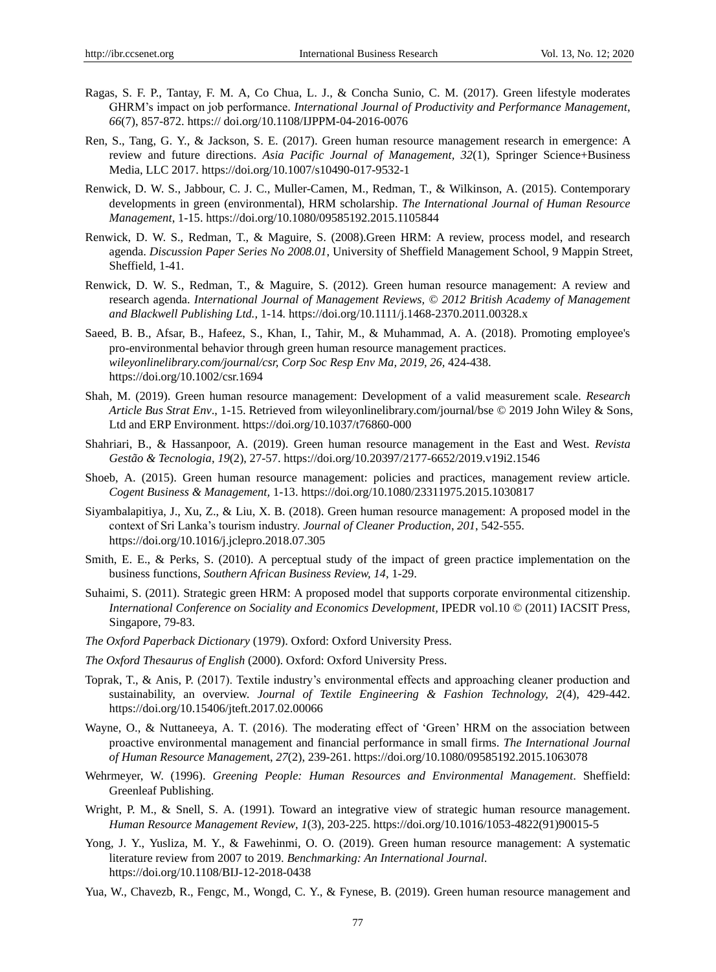- Ragas, S. F. P., Tantay, F. M. A, Co Chua, L. J., & Concha Sunio, C. M. (2017). Green lifestyle moderates GHRM"s impact on job performance. *International Journal of Productivity and Performance Management*, *66*(7), 857-872. https:// doi.org/10.1108/IJPPM-04-2016-0076
- Ren, S., Tang, G. Y., & Jackson, S. E. (2017). Green human resource management research in emergence: A review and future directions. *Asia Pacific Journal of Management, 32*(1), Springer Science+Business Media, LLC 2017. https://doi.org/10.1007/s10490-017-9532-1
- Renwick, D. W. S., Jabbour, C. J. C., Muller-Camen, M., Redman, T., & Wilkinson, A. (2015). Contemporary developments in green (environmental), HRM scholarship. *The International Journal of Human Resource Management*, 1-15. https://doi.org/10.1080/09585192.2015.1105844
- Renwick, D. W. S., Redman, T., & Maguire, S. (2008).Green HRM: A review, process model, and research agenda. *Discussion Paper Series No 2008.01*, University of Sheffield Management School, 9 Mappin Street, Sheffield, 1-41.
- Renwick, D. W. S., Redman, T., & Maguire, S. (2012). Green human resource management: A review and research agenda. *International Journal of Management Reviews, © 2012 British Academy of Management and Blackwell Publishing Ltd.,* 1-14*.* https://doi.org/10.1111/j.1468-2370.2011.00328.x
- Saeed, B. B., Afsar, B., Hafeez, S., Khan, I., Tahir, M., & Muhammad, A. A. (2018). Promoting employee's pro-environmental behavior through green human resource management practices. *wileyonlinelibrary.com/journal/csr, Corp Soc Resp Env Ma, 2019, 26,* 424-438. https://doi.org/10.1002/csr.1694
- Shah, M. (2019). Green human resource management: Development of a valid measurement scale. *Research Article Bus Strat Env*., 1-15. Retrieved from wileyonlinelibrary.com/journal/bse © 2019 John Wiley & Sons, Ltd and ERP Environment.<https://doi.org/10.1037/t76860-000>
- Shahriari, B., & Hassanpoor, A. (2019). Green human resource management in the East and West. *Revista Gestão & Tecnologia*, *19*(2), 27-57. https://doi.org/10.20397/2177-6652/2019.v19i2.1546
- Shoeb, A. (2015). Green human resource management: policies and practices, management review article. *Cogent Business & Management,* 1-13[. https://doi.org/10.1080/23311975.2015.1030817](https://doi.org/10.1080/23311975.2015.1030817)
- Siyambalapitiya, J., Xu, Z., & Liu, X. B. (2018). Green human resource management: A proposed model in the context of Sri Lanka"s tourism industry. *Journal of Cleaner Production*, *201*, 542-555. https://doi.org/10.1016/j.jclepro.2018.07.305
- Smith, E. E., & Perks, S. (2010). A perceptual study of the impact of green practice implementation on the business functions, *Southern African Business Review, 14*, 1-29.
- Suhaimi, S. (2011). Strategic green HRM: A proposed model that supports corporate environmental citizenship. *International Conference on Sociality and Economics Development, IPEDR vol.10* © (2011) IACSIT Press, Singapore, 79-83.
- *The Oxford Paperback Dictionary* (1979). Oxford: Oxford University Press.
- *The Oxford Thesaurus of English* (2000). Oxford: Oxford University Press.
- Toprak, T., & Anis, P. (2017). Textile industry"s environmental effects and approaching cleaner production and sustainability, an overview. *Journal of Textile Engineering & Fashion Technology, 2*(4), 429-442. https://doi.org/10.15406/jteft.2017.02.00066
- Wayne, O., & Nuttaneeya, A. T. (2016). The moderating effect of "Green" HRM on the association between proactive environmental management and financial performance in small firms. *The International Journal of Human Resource Managemen*t, *27*(2), 239-261[. https://doi.org/10.1080/09585192.2015.1063078](https://doi.org/10.1080/09585192.2015.1063078)
- Wehrmeyer, W. (1996). *Greening People: Human Resources and Environmental Management*. Sheffield: Greenleaf Publishing.
- Wright, P. M., & Snell, S. A. (1991). Toward an integrative view of strategic human resource management. *Human Resource Management Review*, *1*(3), 203-225. https://doi.org/10.1016/1053-4822(91)90015-5
- Yong, J. Y., Yusliza, M. Y., & Fawehinmi, O. O. (2019). Green human resource management: A systematic literature review from 2007 to 2019. *Benchmarking: An International Journal*. https://doi.org/10.1108/BIJ-12-2018-0438
- Yua, W., Chavezb, R., Fengc, M., Wongd, C. Y., & Fynese, B. (2019). Green human resource management and